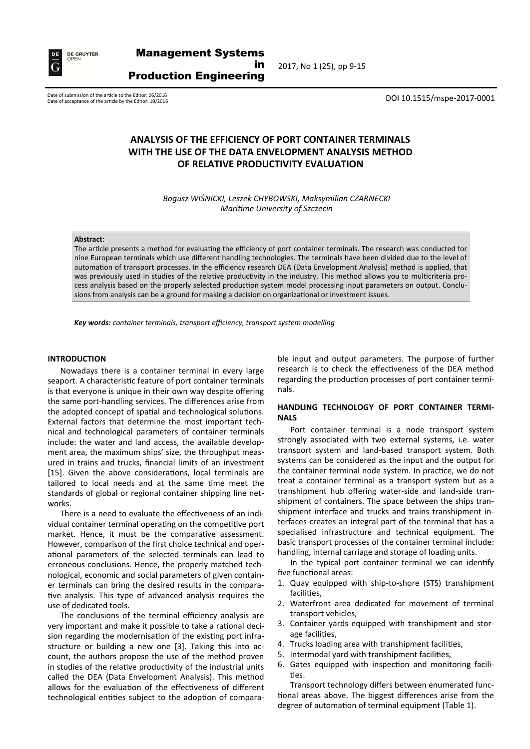

2017, No 1 (25), pp 9-15

Date of submission of the article to the Editor: 06/2016<br>Date of acceptance of the article by the Editor: 10/2016 Date of acceptance of the article by the Editor: 10/2016

# **ANALYSIS OF THE EFFICIENCY OF PORT CONTAINER TERMINALS WITH THE USE OF THE DATA ENVELOPMENT ANALYSIS METHOD OF RELATIVE PRODUCTIVITY EVALUATION**

*Bogusz WIŚNICKI, Leszek CHYBOWSKI, Maksymilian CZARNECKI Maritime University of Szczecin*

#### **Abstract**:

The article presents a method for evaluating the efficiency of port container terminals. The research was conducted for nine European terminals which use different handling technologies. The terminals have been divided due to the level of automation of transport processes. In the efficiency research DEA (Data Envelopment Analysis) method is applied, that was previously used in studies of the relative productivity in the industry. This method allows you to multicriteria process analysis based on the properly selected production system model processing input parameters on output. Conclusions from analysis can be a ground for making a decision on organizational or investment issues.

*Key words: container terminals, transport efficiency, transport system modelling*

#### **INTRODUCTION**

Nowadays there is a container terminal in every large seaport. A characteristic feature of port container terminals is that everyone is unique in their own way despite offering the same port-handling services. The differences arise from the adopted concept of spatial and technological solutions. External factors that determine the most important technical and technological parameters of container terminals include: the water and land access, the available development area, the maximum ships' size, the throughput measured in trains and trucks, financial limits of an investment [15]. Given the above considerations, local terminals are tailored to local needs and at the same time meet the standards of global or regional container shipping line networks.

There is a need to evaluate the effectiveness of an individual container terminal operating on the competitive port market. Hence, it must be the comparative assessment. However, comparison of the first choice technical and operational parameters of the selected terminals can lead to erroneous conclusions. Hence, the properly matched technological, economic and social parameters of given container terminals can bring the desired results in the comparative analysis. This type of advanced analysis requires the use of dedicated tools.

The conclusions of the terminal efficiency analysis are very important and make it possible to take a rational decision regarding the modernisation of the existing port infrastructure or building a new one [3]. Taking this into account, the authors propose the use of the method proven in studies of the relative productivity of the industrial units called the DEA (Data Envelopment Analysis). This method allows for the evaluation of the effectiveness of different technological entities subject to the adoption of comparable input and output parameters. The purpose of further research is to check the effectiveness of the DEA method regarding the production processes of port container terminals.

#### **HANDLING TECHNOLOGY OF PORT CONTAINER TERMI-NALS**

Port container terminal is a node transport system strongly associated with two external systems, i.e. water transport system and land-based transport system. Both systems can be considered as the input and the output for the container terminal node system. In practice, we do not treat a container terminal as a transport system but as a transhipment hub offering water-side and land-side transhipment of containers. The space between the ships transhipment interface and trucks and trains transhipment interfaces creates an integral part of the terminal that has a specialised infrastructure and technical equipment. The basic transport processes of the container terminal include: handling, internal carriage and storage of loading units.

In the typical port container terminal we can identify five functional areas:

- 1. Quay equipped with ship-to-shore (STS) transhipment facilities,
- 2. Waterfront area dedicated for movement of terminal transport vehicles,
- 3. Container yards equipped with transhipment and storage facilities,
- 4. Trucks loading area with transhipment facilities,
- 5. Intermodal yard with transhipment facilities,
- 6. Gates equipped with inspection and monitoring facilities.

Transport technology differs between enumerated functional areas above. The biggest differences arise from the degree of automation of terminal equipment (Table 1).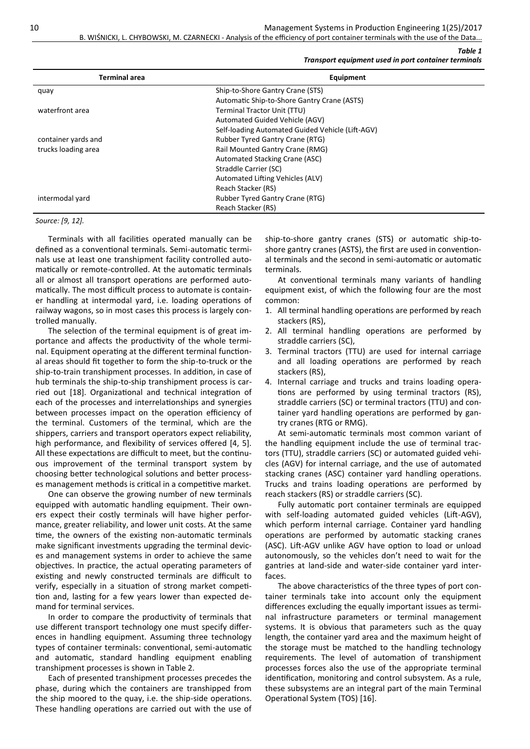10 Management Systems in Production Engineering 1(25)/2017

B. WIŚNICKI, L. CHYBOWSKI, M. CZARNECKI - Analysis of the efficiency of port container terminals with the use of the Data.

*Transport equipment used in port container terminals* 

*Table 1*

| <b>Terminal area</b> | Equipment                                        |
|----------------------|--------------------------------------------------|
| quay                 | Ship-to-Shore Gantry Crane (STS)                 |
|                      | Automatic Ship-to-Shore Gantry Crane (ASTS)      |
| waterfront area      | Terminal Tractor Unit (TTU)                      |
|                      | Automated Guided Vehicle (AGV)                   |
|                      | Self-loading Automated Guided Vehicle (Lift-AGV) |
| container yards and  | <b>Rubber Tyred Gantry Crane (RTG)</b>           |
| trucks loading area  | Rail Mounted Gantry Crane (RMG)                  |
|                      | Automated Stacking Crane (ASC)                   |
|                      | Straddle Carrier (SC)                            |
|                      | Automated Lifting Vehicles (ALV)                 |
|                      | Reach Stacker (RS)                               |
| intermodal yard      | <b>Rubber Tyred Gantry Crane (RTG)</b>           |
|                      | Reach Stacker (RS)                               |

*Source: [9, 12].*

Terminals with all facilities operated manually can be defined as a conventional terminals. Semi-automatic terminals use at least one transhipment facility controlled automatically or remote-controlled. At the automatic terminals all or almost all transport operations are performed automatically. The most difficult process to automate is container handling at intermodal yard, i.e. loading operations of railway wagons, so in most cases this process is largely controlled manually.

The selection of the terminal equipment is of great importance and affects the productivity of the whole terminal. Equipment operating at the different terminal functional areas should fit together to form the ship-to-truck or the ship-to-train transhipment processes. In addition, in case of hub terminals the ship-to-ship transhipment process is carried out [18]. Organizational and technical integration of each of the processes and interrelationships and synergies between processes impact on the operation efficiency of the terminal. Customers of the terminal, which are the shippers, carriers and transport operators expect reliability, high performance, and flexibility of services offered [4, 5]. All these expectations are difficult to meet, but the continuous improvement of the terminal transport system by choosing better technological solutions and better processes management methods is critical in a competitive market.

One can observe the growing number of new terminals equipped with automatic handling equipment. Their owners expect their costly terminals will have higher performance, greater reliability, and lower unit costs. At the same time, the owners of the existing non-automatic terminals make significant investments upgrading the terminal devices and management systems in order to achieve the same objectives. In practice, the actual operating parameters of existing and newly constructed terminals are difficult to verify, especially in a situation of strong market competition and, lasting for a few years lower than expected demand for terminal services.

In order to compare the productivity of terminals that use different transport technology one must specify differences in handling equipment. Assuming three technology types of container terminals: conventional, semi-automatic and automatic, standard handling equipment enabling transhipment processes is shown in Table 2.

Each of presented transhipment processes precedes the phase, during which the containers are transhipped from the ship moored to the quay, i.e. the ship-side operations. These handling operations are carried out with the use of

ship-to-shore gantry cranes (STS) or automatic ship-toshore gantry cranes (ASTS), the first are used in conventional terminals and the second in semi-automatic or automatic terminals.

At conventional terminals many variants of handling equipment exist, of which the following four are the most common:

- 1. All terminal handling operations are performed by reach stackers (RS),
- 2. All terminal handling operations are performed by straddle carriers (SC),
- 3. Terminal tractors (TTU) are used for internal carriage and all loading operations are performed by reach stackers (RS),
- 4. Internal carriage and trucks and trains loading operations are performed by using terminal tractors (RS), straddle carriers (SC) or terminal tractors (TTU) and container yard handling operations are performed by gantry cranes (RTG or RMG).

At semi-automatic terminals most common variant of the handling equipment include the use of terminal tractors (TTU), straddle carriers (SC) or automated guided vehicles (AGV) for internal carriage, and the use of automated stacking cranes (ASC) container yard handling operations. Trucks and trains loading operations are performed by reach stackers (RS) or straddle carriers (SC).

Fully automatic port container terminals are equipped with self-loading automated guided vehicles (Lift-AGV), which perform internal carriage. Container yard handling operations are performed by automatic stacking cranes (ASC). Lift-AGV unlike AGV have option to load or unload autonomously, so the vehicles don't need to wait for the gantries at land-side and water-side container yard interfaces.

The above characteristics of the three types of port container terminals take into account only the equipment differences excluding the equally important issues as terminal infrastructure parameters or terminal management systems. It is obvious that parameters such as the quay length, the container yard area and the maximum height of the storage must be matched to the handling technology requirements. The level of automation of transhipment processes forces also the use of the appropriate terminal identification, monitoring and control subsystem. As a rule, these subsystems are an integral part of the main Terminal Operational System (TOS) [16].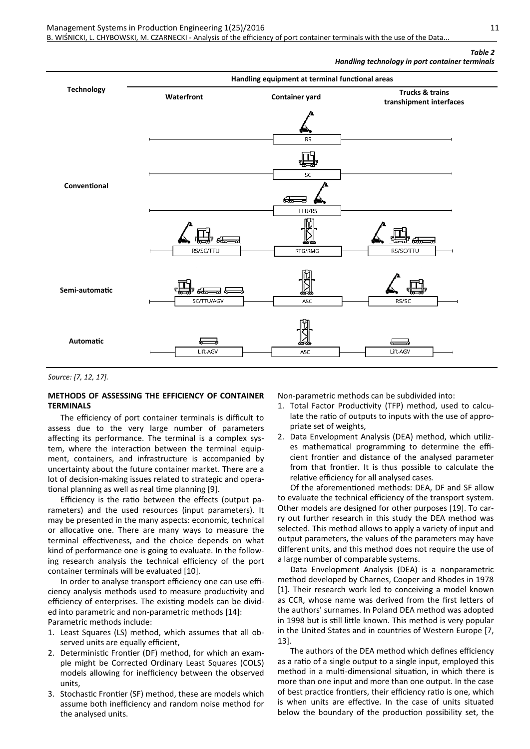# *Table 2*

*Handling technology in port container terminals* 



*Source: [7, 12, 17].*

#### **METHODS OF ASSESSING THE EFFICIENCY OF CONTAINER TERMINALS**

The efficiency of port container terminals is difficult to assess due to the very large number of parameters affecting its performance. The terminal is a complex system, where the interaction between the terminal equipment, containers, and infrastructure is accompanied by uncertainty about the future container market. There are a lot of decision-making issues related to strategic and operational planning as well as real time planning [9].

Efficiency is the ratio between the effects (output parameters) and the used resources (input parameters). It may be presented in the many aspects: economic, technical or allocative one. There are many ways to measure the terminal effectiveness, and the choice depends on what kind of performance one is going to evaluate. In the following research analysis the technical efficiency of the port container terminals will be evaluated [10].

In order to analyse transport efficiency one can use efficiency analysis methods used to measure productivity and efficiency of enterprises. The existing models can be divided into parametric and non-parametric methods [14]: Parametric methods include:

- 1. Least Squares (LS) method, which assumes that all observed units are equally efficient,
- 2. Deterministic Frontier (DF) method, for which an example might be Corrected Ordinary Least Squares (COLS) models allowing for inefficiency between the observed units,
- 3. Stochastic Frontier (SF) method, these are models which assume both inefficiency and random noise method for the analysed units.

Non-parametric methods can be subdivided into:

- 1. Total Factor Productivity (TFP) method, used to calculate the ratio of outputs to inputs with the use of appropriate set of weights,
- 2. Data Envelopment Analysis (DEA) method, which utilizes mathematical programming to determine the efficient frontier and distance of the analysed parameter from that frontier. It is thus possible to calculate the relative efficiency for all analysed cases.

Of the aforementioned methods: DEA, DF and SF allow to evaluate the technical efficiency of the transport system. Other models are designed for other purposes [19]. To carry out further research in this study the DEA method was selected. This method allows to apply a variety of input and output parameters, the values of the parameters may have different units, and this method does not require the use of a large number of comparable systems.

Data Envelopment Analysis (DEA) is a nonparametric method developed by Charnes, Cooper and Rhodes in 1978 [1]. Their research work led to conceiving a model known as CCR, whose name was derived from the first letters of the authors' surnames. In Poland DEA method was adopted in 1998 but is still little known. This method is very popular in the United States and in countries of Western Europe [7, 13].

The authors of the DEA method which defines efficiency as a ratio of a single output to a single input, employed this method in a multi-dimensional situation, in which there is more than one input and more than one output. In the case of best practice frontiers, their efficiency ratio is one, which is when units are effective. In the case of units situated below the boundary of the production possibility set, the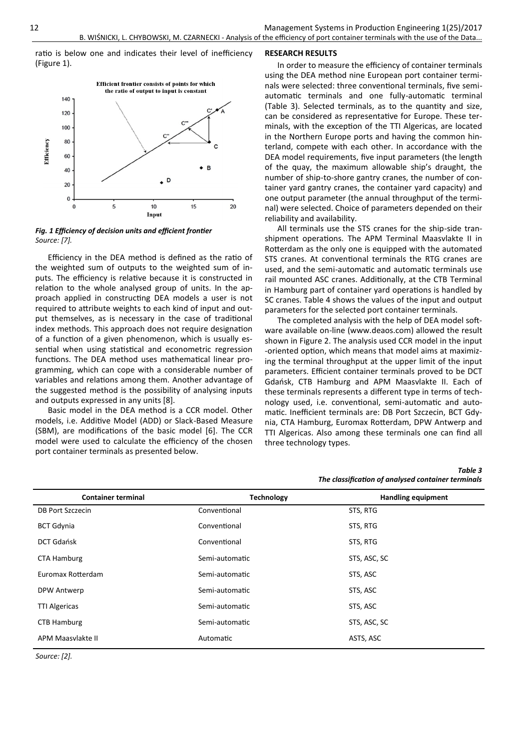ratio is below one and indicates their level of inefficiency (Figure 1).



*Fig. 1 Efficiency of decision units and efficient frontier Source: [7].*

Efficiency in the DEA method is defined as the ratio of the weighted sum of outputs to the weighted sum of inputs. The efficiency is relative because it is constructed in relation to the whole analysed group of units. In the approach applied in constructing DEA models a user is not required to attribute weights to each kind of input and output themselves, as is necessary in the case of traditional index methods. This approach does not require designation of a function of a given phenomenon, which is usually essential when using statistical and econometric regression functions. The DEA method uses mathematical linear programming, which can cope with a considerable number of variables and relations among them. Another advantage of the suggested method is the possibility of analysing inputs and outputs expressed in any units [8].

Basic model in the DEA method is a CCR model. Other models, i.e. Additive Model (ADD) or Slack-Based Measure (SBM), are modifications of the basic model [6]. The CCR model were used to calculate the efficiency of the chosen port container terminals as presented below.

### **RESEARCH RESULTS**

In order to measure the efficiency of container terminals using the DEA method nine European port container terminals were selected: three conventional terminals, five semiautomatic terminals and one fully-automatic terminal (Table 3). Selected terminals, as to the quantity and size, can be considered as representative for Europe. These terminals, with the exception of the TTI Algericas, are located in the Northern Europe ports and having the common hinterland, compete with each other. In accordance with the DEA model requirements, five input parameters (the length of the quay, the maximum allowable ship's draught, the number of ship-to-shore gantry cranes, the number of container yard gantry cranes, the container yard capacity) and one output parameter (the annual throughput of the terminal) were selected. Choice of parameters depended on their reliability and availability.

All terminals use the STS cranes for the ship-side transhipment operations. The APM Terminal Maasvlakte II in Rotterdam as the only one is equipped with the automated STS cranes. At conventional terminals the RTG cranes are used, and the semi-automatic and automatic terminals use rail mounted ASC cranes. Additionally, at the CTB Terminal in Hamburg part of container yard operations is handled by SC cranes. Table 4 shows the values of the input and output parameters for the selected port container terminals.

The completed analysis with the help of DEA model software available on-line (www.deaos.com) allowed the result shown in Figure 2. The analysis used CCR model in the input -oriented option, which means that model aims at maximizing the terminal throughput at the upper limit of the input parameters. Efficient container terminals proved to be DCT Gdańsk, CTB Hamburg and APM Maasvlakte II. Each of these terminals represents a different type in terms of technology used, i.e. conventional, semi-automatic and automatic. Inefficient terminals are: DB Port Szczecin, BCT Gdynia, CTA Hamburg, Euromax Rotterdam, DPW Antwerp and TTI Algericas. Also among these terminals one can find all three technology types.

*Table 3 The classification of analysed container terminals* 

| <b>Container terminal</b> | <b>Technology</b> | <b>Handling equipment</b> |
|---------------------------|-------------------|---------------------------|
| <b>DB Port Szczecin</b>   | Conventional      | STS, RTG                  |
| <b>BCT Gdynia</b>         | Conventional      | STS, RTG                  |
| <b>DCT Gdańsk</b>         | Conventional      | STS, RTG                  |
| <b>CTA Hamburg</b>        | Semi-automatic    | STS, ASC, SC              |
| Euromax Rotterdam         | Semi-automatic    | STS, ASC                  |
| DPW Antwerp               | Semi-automatic    | STS, ASC                  |
| <b>TTI Algericas</b>      | Semi-automatic    | STS, ASC                  |
| <b>CTB Hamburg</b>        | Semi-automatic    | STS, ASC, SC              |
| APM Maasvlakte II         | Automatic         | ASTS, ASC                 |

*Source: [2].*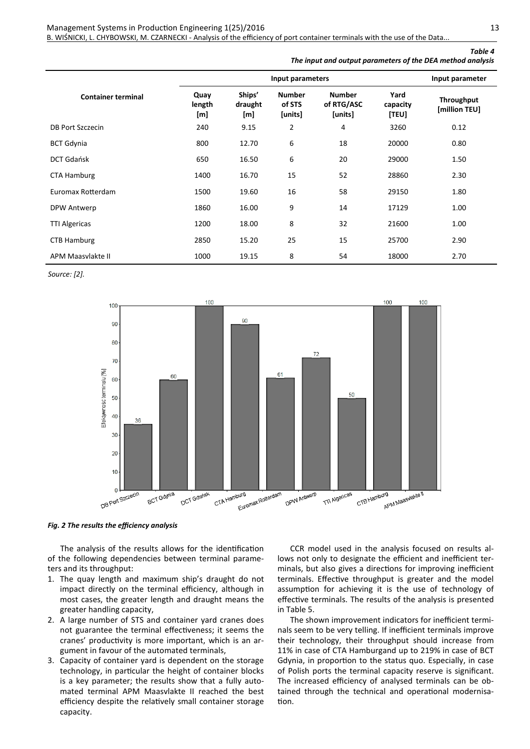## Management Systems in Production Engineering 1(25)/2016 13

B. WIŚNICKI, L. CHYBOWSKI, M. CZARNECKI - Analysis of the efficiency of port container terminals with the use of the Data...

|  |  | The input and output parameters of the DEA method analysis |  | Table 4 |
|--|--|------------------------------------------------------------|--|---------|
|  |  |                                                            |  |         |

|                           | Input parameters      |                          |                                    |                                        | Input parameter           |                             |  |
|---------------------------|-----------------------|--------------------------|------------------------------------|----------------------------------------|---------------------------|-----------------------------|--|
| <b>Container terminal</b> | Quay<br>length<br>[m] | Ships'<br>draught<br>[m] | <b>Number</b><br>of STS<br>[units] | <b>Number</b><br>of RTG/ASC<br>[units] | Yard<br>capacity<br>[TEU] | Throughput<br>[million TEU] |  |
| <b>DB Port Szczecin</b>   | 240                   | 9.15                     | 2                                  | 4                                      | 3260                      | 0.12                        |  |
| <b>BCT Gdynia</b>         | 800                   | 12.70                    | 6                                  | 18                                     | 20000                     | 0.80                        |  |
| <b>DCT Gdańsk</b>         | 650                   | 16.50                    | 6                                  | 20                                     | 29000                     | 1.50                        |  |
| <b>CTA Hamburg</b>        | 1400                  | 16.70                    | 15                                 | 52                                     | 28860                     | 2.30                        |  |
| Euromax Rotterdam         | 1500                  | 19.60                    | 16                                 | 58                                     | 29150                     | 1.80                        |  |
| DPW Antwerp               | 1860                  | 16.00                    | 9                                  | 14                                     | 17129                     | 1.00                        |  |
| <b>TTI Algericas</b>      | 1200                  | 18.00                    | 8                                  | 32                                     | 21600                     | 1.00                        |  |
| <b>CTB Hamburg</b>        | 2850                  | 15.20                    | 25                                 | 15                                     | 25700                     | 2.90                        |  |
| APM Maasvlakte II         | 1000                  | 19.15                    | 8                                  | 54                                     | 18000                     | 2.70                        |  |

*Source: [2].*



*Fig. 2 The results the efficiency analysis* 

The analysis of the results allows for the identification of the following dependencies between terminal parameters and its throughput:

- 1. The quay length and maximum ship's draught do not impact directly on the terminal efficiency, although in most cases, the greater length and draught means the greater handling capacity,
- 2. A large number of STS and container yard cranes does not guarantee the terminal effectiveness; it seems the cranes' productivity is more important, which is an argument in favour of the automated terminals,
- 3. Capacity of container yard is dependent on the storage technology, in particular the height of container blocks is a key parameter; the results show that a fully automated terminal APM Maasvlakte II reached the best efficiency despite the relatively small container storage capacity.

CCR model used in the analysis focused on results allows not only to designate the efficient and inefficient terminals, but also gives a directions for improving inefficient terminals. Effective throughput is greater and the model assumption for achieving it is the use of technology of effective terminals. The results of the analysis is presented in Table 5.

The shown improvement indicators for inefficient terminals seem to be very telling. If inefficient terminals improve their technology, their throughput should increase from 11% in case of CTA Hamburgand up to 219% in case of BCT Gdynia, in proportion to the status quo. Especially, in case of Polish ports the terminal capacity reserve is significant. The increased efficiency of analysed terminals can be obtained through the technical and operational modernisation.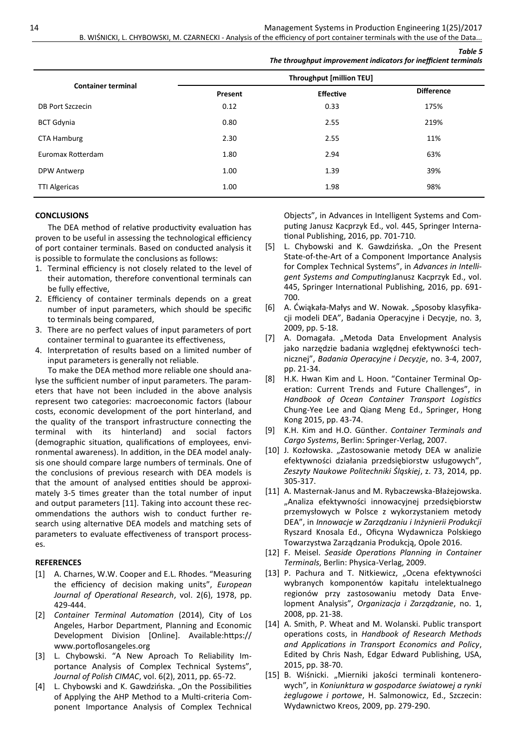|                           |                                 | The throughput improvement indicators for inefficient terminals |                   |  |  |  |
|---------------------------|---------------------------------|-----------------------------------------------------------------|-------------------|--|--|--|
|                           | <b>Throughput [million TEU]</b> |                                                                 |                   |  |  |  |
| <b>Container terminal</b> | Present                         | <b>Effective</b>                                                | <b>Difference</b> |  |  |  |
| DB Port Szczecin          | 0.12                            | 0.33                                                            | 175%              |  |  |  |
| <b>BCT Gdynia</b>         | 0.80                            | 2.55                                                            | 219%              |  |  |  |
| <b>CTA Hamburg</b>        | 2.30                            | 2.55                                                            | 11%               |  |  |  |
| Euromax Rotterdam         | 1.80                            | 2.94                                                            | 63%               |  |  |  |
| DPW Antwerp               | 1.00                            | 1.39                                                            | 39%               |  |  |  |
| <b>TTI Algericas</b>      | 1.00                            | 1.98                                                            | 98%               |  |  |  |

#### **CONCLUSIONS**

The DEA method of relative productivity evaluation has proven to be useful in assessing the technological efficiency of port container terminals. Based on conducted analysis it is possible to formulate the conclusions as follows:

- 1. Terminal efficiency is not closely related to the level of their automation, therefore conventional terminals can be fully effective,
- 2. Efficiency of container terminals depends on a great number of input parameters, which should be specific to terminals being compared,
- 3. There are no perfect values of input parameters of port container terminal to guarantee its effectiveness,
- 4. Interpretation of results based on a limited number of input parameters is generally not reliable.

To make the DEA method more reliable one should analyse the sufficient number of input parameters. The parameters that have not been included in the above analysis represent two categories: macroeconomic factors (labour costs, economic development of the port hinterland, and the quality of the transport infrastructure connecting the terminal with its hinterland) and social factors (demographic situation, qualifications of employees, environmental awareness). In addition, in the DEA model analysis one should compare large numbers of terminals. One of the conclusions of previous research with DEA models is that the amount of analysed entities should be approximately 3-5 times greater than the total number of input and output parameters [11]. Taking into account these recommendations the authors wish to conduct further research using alternative DEA models and matching sets of parameters to evaluate effectiveness of transport processes.

#### **REFERENCES**

- [1] A. Charnes, W.W. Cooper and E.L. Rhodes. "Measuring the efficiency of decision making units", *European Journal of Operational Research*, vol. 2(6), 1978, pp. 429-444.
- [2] *Container Terminal Automation* (2014), City of Los Angeles, Harbor Department, Planning and Economic Development Division [Online]. Available:https:// www.portoflosangeles.org
- [3] L. Chybowski. "A New Aproach To Reliability Importance Analysis of Complex Technical Systems", *Journal of Polish CIMAC*, vol. 6(2), 2011, pp. 65-72.
- [4] L. Chybowski and K. Gawdzińska. "On the Possibilities of Applying the AHP Method to a Multi-criteria Component Importance Analysis of Complex Technical

Objects", in Advances in Intelligent Systems and Computing Janusz Kacprzyk Ed., vol. 445, Springer International Publishing, 2016, pp. 701-710.

*Table 5*

- [5] L. Chybowski and K. Gawdzińska. "On the Present State-of-the-Art of a Component Importance Analysis for Complex Technical Systems", in *Advances in Intelligent Systems and Computing*Janusz Kacprzyk Ed., vol. 445, Springer International Publishing, 2016, pp. 691- 700.
- [6] A. Ćwiąkała-Małys and W. Nowak. "Sposoby klasyfikacji modeli DEA", Badania Operacyjne i Decyzje, no. 3, 2009, pp. 5-18.
- [7] A. Domagała. "Metoda Data Envelopment Analysis jako narzędzie badania względnej efektywności technicznej", *Badania Operacyjne i Decyzje*, no. 3-4, 2007, pp. 21-34.
- [8] H.K. Hwan Kim and L. Hoon. "Container Terminal Operation: Current Trends and Future Challenges", in *Handbook of Ocean Container Transport Logistics* Chung-Yee Lee and Qiang Meng Ed., Springer, Hong Kong 2015, pp. 43-74.
- [9] K.H. Kim and H.O. Günther. *Container Terminals and Cargo Systems*, Berlin: Springer-Verlag, 2007.
- [10] J. Kozłowska. "Zastosowanie metody DEA w analizie efektywności działania przedsiębiorstw usługowych", *Zeszyty Naukowe Politechniki Śląskiej*, z. 73, 2014, pp. 305-317.
- [11] A. Masternak-Janus and M. Rybaczewska-Błażejowska. "Analiza efektywności innowacyjnej przedsiębiorstw przemysłowych w Polsce z wykorzystaniem metody DEA", in *Innowacje w Zarządzaniu i Inżynierii Produkcji*  Ryszard Knosala Ed., Oficyna Wydawnicza Polskiego Towarzystwa Zarządzania Produkcją, Opole 2016.
- [12] F. Meisel. *Seaside Operations Planning in Container Terminals*, Berlin: Physica-Verlag, 2009.
- [13] P. Pachura and T. Nitkiewicz, "Ocena efektywności wybranych komponentów kapitału intelektualnego regionów przy zastosowaniu metody Data Envelopment Analysis", *Organizacja i Zarządzanie*, no. 1, 2008, pp. 21-38.
- [14] A. Smith, P. Wheat and M. Wolanski. Public transport operations costs, in *Handbook of Research Methods and Applications in Transport Economics and Policy*, Edited by Chris Nash, Edgar Edward Publishing, USA, 2015, pp. 38-70.
- [15] B. Wiśnicki. "Mierniki jakości terminali kontenerowych"*,* in *Koniunktura w gospodarce światowej a rynki żeglugowe i portowe*, H. Salmonowicz, Ed., Szczecin: Wydawnictwo Kreos, 2009, pp. 279-290.